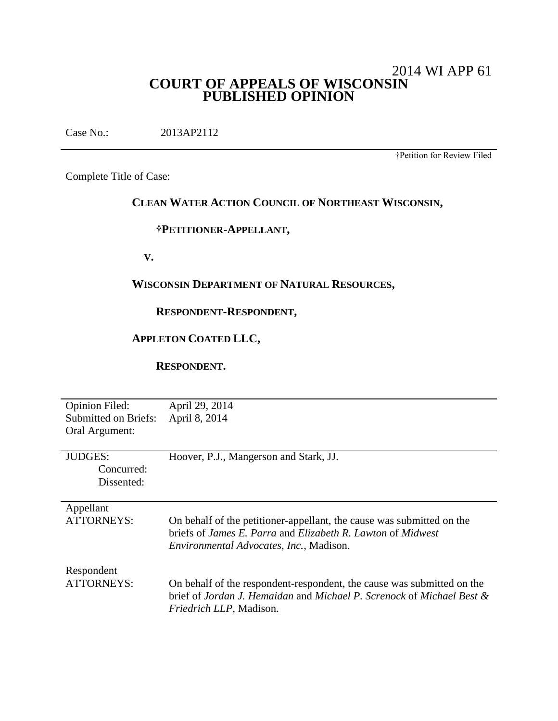# 2014 WI APP 61 **COURT OF APPEALS OF WISCONSIN PUBLISHED OPINION**

Case No.: 2013AP2112

†Petition for Review Filed

Complete Title of Case:

# **CLEAN WATER ACTION COUNCIL OF NORTHEAST WISCONSIN,**

## **†PETITIONER-APPELLANT,**

 **V.**

## **WISCONSIN DEPARTMENT OF NATURAL RESOURCES,**

# **RESPONDENT-RESPONDENT,**

# **APPLETON COATED LLC,**

 **RESPONDENT.**

| <b>Opinion Filed:</b>       | April 29, 2014                                                         |
|-----------------------------|------------------------------------------------------------------------|
| <b>Submitted on Briefs:</b> | April 8, 2014                                                          |
| Oral Argument:              |                                                                        |
|                             |                                                                        |
| <b>JUDGES:</b>              | Hoover, P.J., Mangerson and Stark, JJ.                                 |
| Concurred:                  |                                                                        |
| Dissented:                  |                                                                        |
|                             |                                                                        |
| Appellant                   |                                                                        |
| <b>ATTORNEYS:</b>           | On behalf of the petitioner-appellant, the cause was submitted on the  |
|                             | briefs of James E. Parra and Elizabeth R. Lawton of Midwest            |
|                             | Environmental Advocates, Inc., Madison.                                |
|                             |                                                                        |
| Respondent                  |                                                                        |
| <b>ATTORNEYS:</b>           | On behalf of the respondent-respondent, the cause was submitted on the |
|                             | brief of Jordan J. Hemaidan and Michael P. Screnock of Michael Best &  |
|                             | <i>Friedrich LLP</i> , Madison.                                        |
|                             |                                                                        |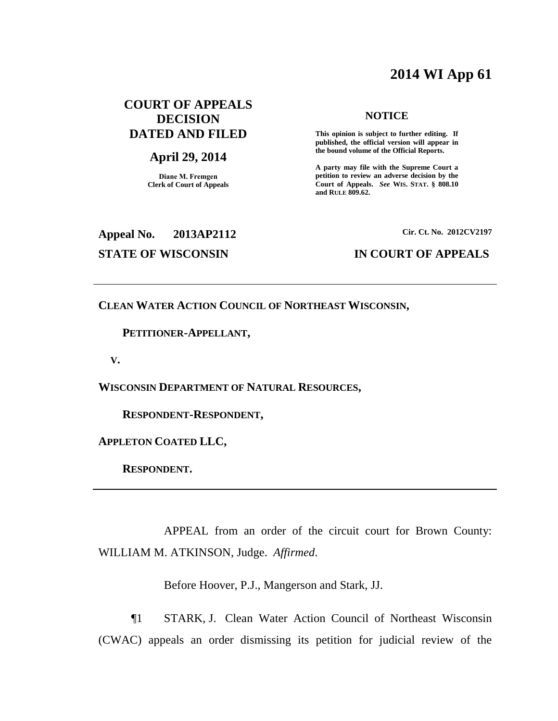# **2014 WI App 61**

# **COURT OF APPEALS DECISION DATED AND FILED**

## **April 29, 2014**

**Diane M. Fremgen Clerk of Court of Appeals**

### **NOTICE**

**This opinion is subject to further editing. If published, the official version will appear in the bound volume of the Official Reports.** 

**A party may file with the Supreme Court a petition to review an adverse decision by the Court of Appeals.** *See* **WIS. STAT. § 808.10 and RULE 809.62.** 

# **Appeal No. 2013AP2112 Cir. Ct. No. 2012CV2197**

## **STATE OF WISCONSIN IN COURT OF APPEALS**

## **CLEAN WATER ACTION COUNCIL OF NORTHEAST WISCONSIN,**

## **PETITIONER-APPELLANT,**

 **V.**

**WISCONSIN DEPARTMENT OF NATURAL RESOURCES,**

 **RESPONDENT-RESPONDENT,**

**APPLETON COATED LLC,**

 **RESPONDENT.**

APPEAL from an order of the circuit court for Brown County: WILLIAM M. ATKINSON, Judge. *Affirmed*.

Before Hoover, P.J., Mangerson and Stark, JJ.

¶1 STARK, J. Clean Water Action Council of Northeast Wisconsin (CWAC) appeals an order dismissing its petition for judicial review of the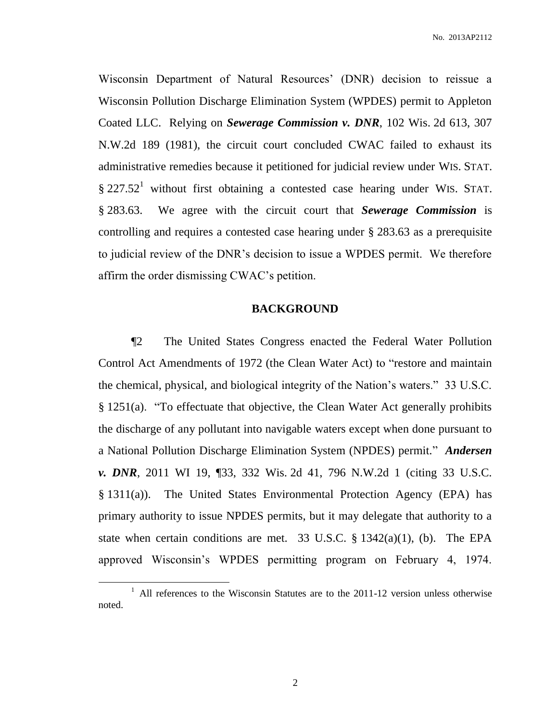No. 2013AP2112

Wisconsin Department of Natural Resources' (DNR) decision to reissue a Wisconsin Pollution Discharge Elimination System (WPDES) permit to Appleton Coated LLC. Relying on *Sewerage Commission v. DNR*, 102 Wis. 2d 613, 307 N.W.2d 189 (1981), the circuit court concluded CWAC failed to exhaust its administrative remedies because it petitioned for judicial review under WIS. STAT.  $\S 227.52<sup>1</sup>$  without first obtaining a contested case hearing under WIS. STAT. § 283.63. We agree with the circuit court that *Sewerage Commission* is controlling and requires a contested case hearing under § 283.63 as a prerequisite to judicial review of the DNR's decision to issue a WPDES permit. We therefore affirm the order dismissing CWAC's petition.

## **BACKGROUND**

¶2 The United States Congress enacted the Federal Water Pollution Control Act Amendments of 1972 (the Clean Water Act) to "restore and maintain the chemical, physical, and biological integrity of the Nation's waters." 33 U.S.C. § 1251(a). "To effectuate that objective, the Clean Water Act generally prohibits the discharge of any pollutant into navigable waters except when done pursuant to a National Pollution Discharge Elimination System (NPDES) permit." *Andersen v. DNR*, 2011 WI 19, ¶33, 332 Wis. 2d 41, 796 N.W.2d 1 (citing 33 U.S.C. § 1311(a)). The United States Environmental Protection Agency (EPA) has primary authority to issue NPDES permits, but it may delegate that authority to a state when certain conditions are met. 33 U.S.C.  $\S$  1342(a)(1), (b). The EPA approved Wisconsin's WPDES permitting program on February 4, 1974.

<sup>&</sup>lt;sup>1</sup> All references to the Wisconsin Statutes are to the 2011-12 version unless otherwise noted.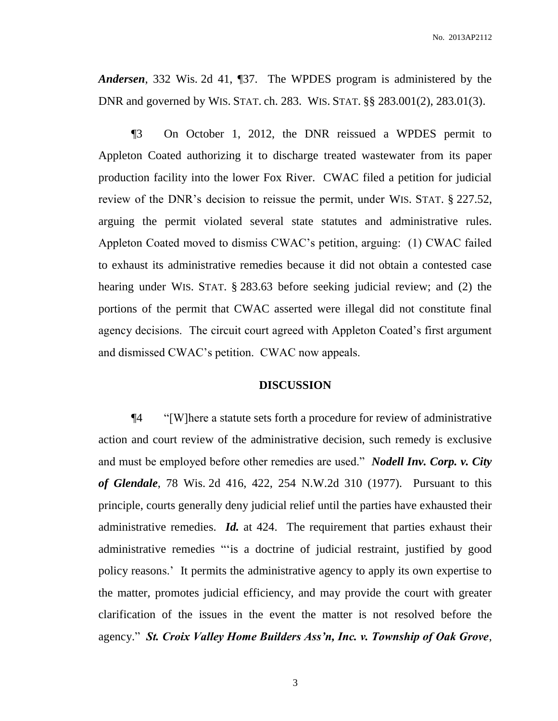*Andersen*, 332 Wis. 2d 41, ¶37. The WPDES program is administered by the DNR and governed by WIS. STAT. ch. 283. WIS. STAT. §§ 283.001(2), 283.01(3).

¶3 On October 1, 2012, the DNR reissued a WPDES permit to Appleton Coated authorizing it to discharge treated wastewater from its paper production facility into the lower Fox River. CWAC filed a petition for judicial review of the DNR's decision to reissue the permit, under WIS. STAT. § 227.52, arguing the permit violated several state statutes and administrative rules. Appleton Coated moved to dismiss CWAC's petition, arguing: (1) CWAC failed to exhaust its administrative remedies because it did not obtain a contested case hearing under WIS. STAT. § 283.63 before seeking judicial review; and (2) the portions of the permit that CWAC asserted were illegal did not constitute final agency decisions. The circuit court agreed with Appleton Coated's first argument and dismissed CWAC's petition. CWAC now appeals.

## **DISCUSSION**

¶4 "[W]here a statute sets forth a procedure for review of administrative action and court review of the administrative decision, such remedy is exclusive and must be employed before other remedies are used." *Nodell Inv. Corp. v. City of Glendale*, 78 Wis. 2d 416, 422, 254 N.W.2d 310 (1977). Pursuant to this principle, courts generally deny judicial relief until the parties have exhausted their administrative remedies. *Id.* at 424. The requirement that parties exhaust their administrative remedies "'is a doctrine of judicial restraint, justified by good policy reasons.' It permits the administrative agency to apply its own expertise to the matter, promotes judicial efficiency, and may provide the court with greater clarification of the issues in the event the matter is not resolved before the agency." *St. Croix Valley Home Builders Ass'n, Inc. v. Township of Oak Grove*,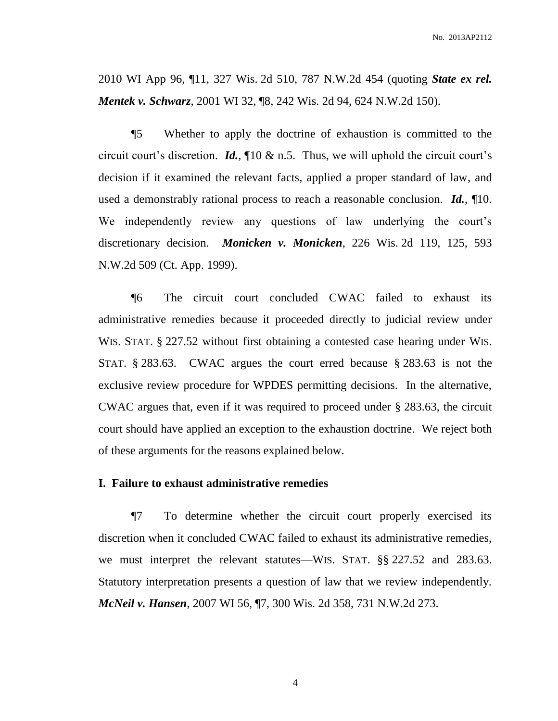2010 WI App 96, ¶11, 327 Wis. 2d 510, 787 N.W.2d 454 (quoting *State ex rel. Mentek v. Schwarz*, 2001 WI 32, ¶8, 242 Wis. 2d 94, 624 N.W.2d 150).

¶5 Whether to apply the doctrine of exhaustion is committed to the circuit court's discretion. *Id.*, ¶10 & n.5. Thus, we will uphold the circuit court's decision if it examined the relevant facts, applied a proper standard of law, and used a demonstrably rational process to reach a reasonable conclusion. *Id.*, ¶10. We independently review any questions of law underlying the court's discretionary decision. *Monicken v. Monicken*, 226 Wis. 2d 119, 125, 593 N.W.2d 509 (Ct. App. 1999).

¶6 The circuit court concluded CWAC failed to exhaust its administrative remedies because it proceeded directly to judicial review under WIS. STAT. § 227.52 without first obtaining a contested case hearing under WIS. STAT. § 283.63. CWAC argues the court erred because § 283.63 is not the exclusive review procedure for WPDES permitting decisions. In the alternative, CWAC argues that, even if it was required to proceed under § 283.63, the circuit court should have applied an exception to the exhaustion doctrine. We reject both of these arguments for the reasons explained below.

## **I. Failure to exhaust administrative remedies**

¶7 To determine whether the circuit court properly exercised its discretion when it concluded CWAC failed to exhaust its administrative remedies, we must interpret the relevant statutes—WIS. STAT. §§ 227.52 and 283.63. Statutory interpretation presents a question of law that we review independently. *McNeil v. Hansen*, 2007 WI 56, ¶7, 300 Wis. 2d 358, 731 N.W.2d 273.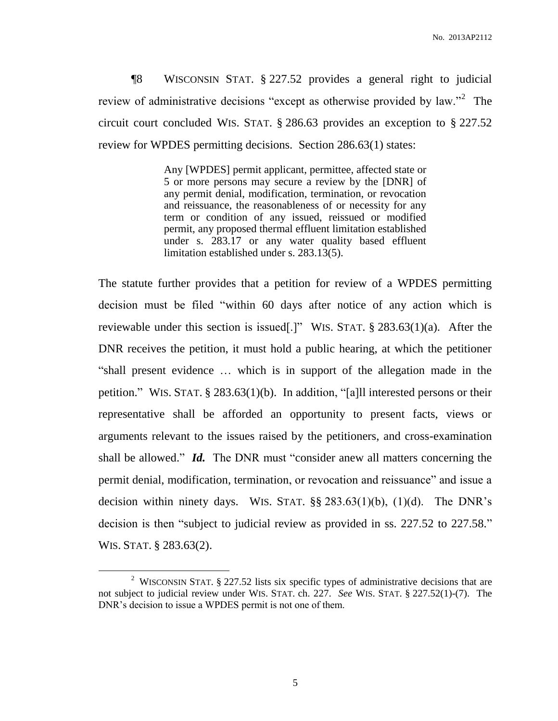¶8 WISCONSIN STAT. § 227.52 provides a general right to judicial review of administrative decisions "except as otherwise provided by law."<sup>2</sup> The circuit court concluded WIS. STAT. § 286.63 provides an exception to § 227.52 review for WPDES permitting decisions. Section 286.63(1) states:

> Any [WPDES] permit applicant, permittee, affected state or 5 or more persons may secure a review by the [DNR] of any permit denial, modification, termination, or revocation and reissuance, the reasonableness of or necessity for any term or condition of any issued, reissued or modified permit, any proposed thermal effluent limitation established under s. 283.17 or any water quality based effluent limitation established under s. 283.13(5).

The statute further provides that a petition for review of a WPDES permitting decision must be filed "within 60 days after notice of any action which is reviewable under this section is issued[.]" WIS. STAT. § 283.63(1)(a). After the DNR receives the petition, it must hold a public hearing, at which the petitioner "shall present evidence … which is in support of the allegation made in the petition." WIS. STAT. § 283.63(1)(b). In addition, "[a]ll interested persons or their representative shall be afforded an opportunity to present facts, views or arguments relevant to the issues raised by the petitioners, and cross-examination shall be allowed." *Id.* The DNR must "consider anew all matters concerning the permit denial, modification, termination, or revocation and reissuance" and issue a decision within ninety days. WIS. STAT.  $\S$ § 283.63(1)(b), (1)(d). The DNR's decision is then "subject to judicial review as provided in ss. 227.52 to 227.58." WIS. STAT. § 283.63(2).

<sup>&</sup>lt;sup>2</sup> WISCONSIN STAT. § 227.52 lists six specific types of administrative decisions that are not subject to judicial review under WIS. STAT. ch. 227. *See* WIS. STAT. § 227.52(1)-(7). The DNR's decision to issue a WPDES permit is not one of them.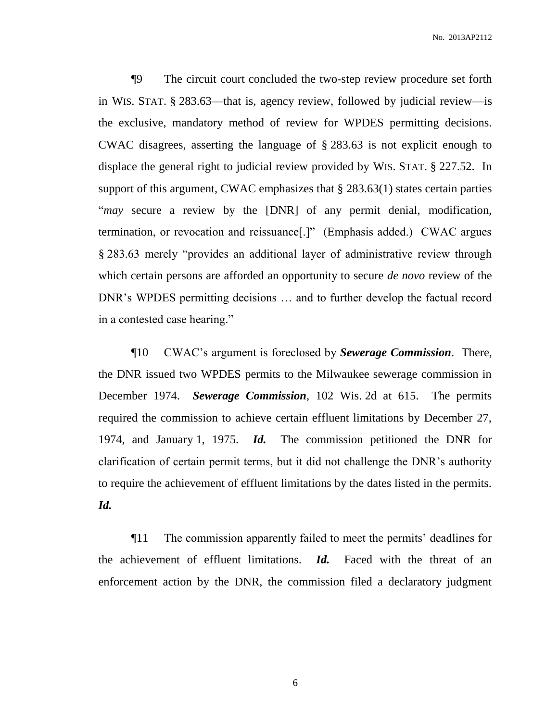¶9 The circuit court concluded the two-step review procedure set forth in WIS. STAT. § 283.63—that is, agency review, followed by judicial review—is the exclusive, mandatory method of review for WPDES permitting decisions. CWAC disagrees, asserting the language of § 283.63 is not explicit enough to displace the general right to judicial review provided by WIS. STAT. § 227.52. In support of this argument, CWAC emphasizes that § 283.63(1) states certain parties "*may* secure a review by the [DNR] of any permit denial, modification, termination, or revocation and reissuance[.]" (Emphasis added.) CWAC argues § 283.63 merely "provides an additional layer of administrative review through which certain persons are afforded an opportunity to secure *de novo* review of the DNR's WPDES permitting decisions … and to further develop the factual record in a contested case hearing."

¶10 CWAC's argument is foreclosed by *Sewerage Commission*. There, the DNR issued two WPDES permits to the Milwaukee sewerage commission in December 1974. *Sewerage Commission*, 102 Wis. 2d at 615. The permits required the commission to achieve certain effluent limitations by December 27, 1974, and January 1, 1975. *Id.* The commission petitioned the DNR for clarification of certain permit terms, but it did not challenge the DNR's authority to require the achievement of effluent limitations by the dates listed in the permits. *Id.*

¶11 The commission apparently failed to meet the permits' deadlines for the achievement of effluent limitations. *Id.* Faced with the threat of an enforcement action by the DNR, the commission filed a declaratory judgment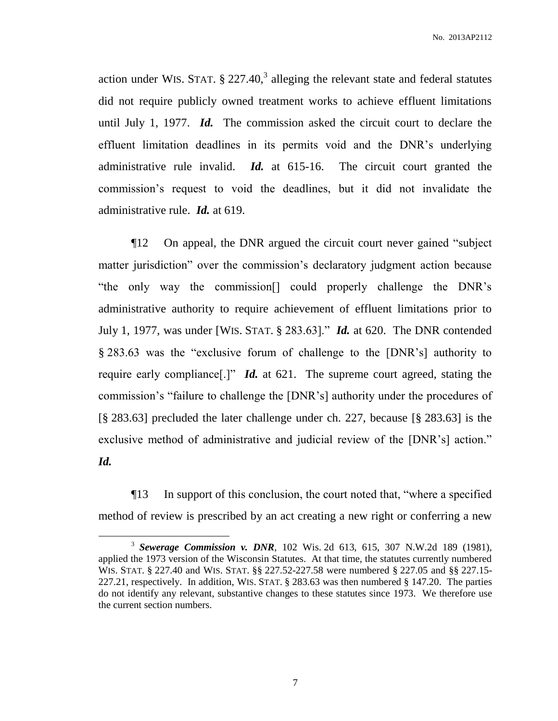action under WIS. STAT.  $\S 227.40$ ,<sup>3</sup> alleging the relevant state and federal statutes did not require publicly owned treatment works to achieve effluent limitations until July 1, 1977. *Id.* The commission asked the circuit court to declare the effluent limitation deadlines in its permits void and the DNR's underlying administrative rule invalid. *Id.* at 615-16. The circuit court granted the commission's request to void the deadlines, but it did not invalidate the administrative rule. *Id.* at 619.

¶12 On appeal, the DNR argued the circuit court never gained "subject matter jurisdiction" over the commission's declaratory judgment action because "the only way the commission[] could properly challenge the DNR's administrative authority to require achievement of effluent limitations prior to July 1, 1977, was under [WIS. STAT. § 283.63]." *Id.* at 620. The DNR contended § 283.63 was the "exclusive forum of challenge to the [DNR's] authority to require early compliance[.]" *Id.* at 621. The supreme court agreed, stating the commission's "failure to challenge the [DNR's] authority under the procedures of [§ 283.63] precluded the later challenge under ch. 227, because [§ 283.63] is the exclusive method of administrative and judicial review of the [DNR's] action." *Id.*

¶13 In support of this conclusion, the court noted that, "where a specified method of review is prescribed by an act creating a new right or conferring a new

<sup>3</sup> *Sewerage Commission v. DNR*, 102 Wis. 2d 613, 615, 307 N.W.2d 189 (1981), applied the 1973 version of the Wisconsin Statutes. At that time, the statutes currently numbered WIS. STAT. § 227.40 and WIS. STAT. §§ 227.52-227.58 were numbered § 227.05 and §§ 227.15- 227.21, respectively. In addition, WIS. STAT. § 283.63 was then numbered § 147.20. The parties do not identify any relevant, substantive changes to these statutes since 1973.We therefore use the current section numbers.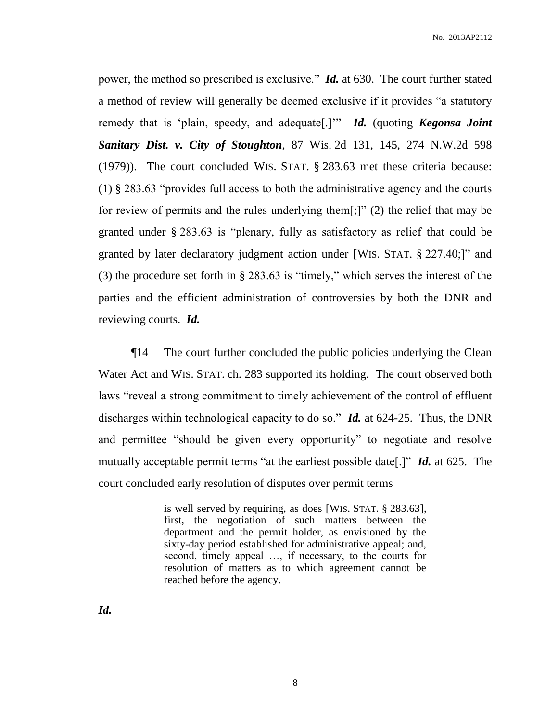power, the method so prescribed is exclusive." *Id.* at 630. The court further stated a method of review will generally be deemed exclusive if it provides "a statutory remedy that is 'plain, speedy, and adequate[.]'" *Id.* (quoting *Kegonsa Joint Sanitary Dist. v. City of Stoughton*, 87 Wis. 2d 131, 145, 274 N.W.2d 598 (1979)). The court concluded WIS. STAT. § 283.63 met these criteria because: (1) § 283.63 "provides full access to both the administrative agency and the courts for review of permits and the rules underlying them[;]" (2) the relief that may be granted under § 283.63 is "plenary, fully as satisfactory as relief that could be granted by later declaratory judgment action under [WIS. STAT. § 227.40;]" and (3) the procedure set forth in § 283.63 is "timely," which serves the interest of the parties and the efficient administration of controversies by both the DNR and reviewing courts. *Id.*

¶14 The court further concluded the public policies underlying the Clean Water Act and WIS. STAT. ch. 283 supported its holding. The court observed both laws "reveal a strong commitment to timely achievement of the control of effluent discharges within technological capacity to do so." *Id.* at 624-25. Thus, the DNR and permittee "should be given every opportunity" to negotiate and resolve mutually acceptable permit terms "at the earliest possible date[.]" *Id.* at 625. The court concluded early resolution of disputes over permit terms

> is well served by requiring, as does [WIS. STAT. § 283.63], first, the negotiation of such matters between the department and the permit holder, as envisioned by the sixty-day period established for administrative appeal; and, second, timely appeal …, if necessary, to the courts for resolution of matters as to which agreement cannot be reached before the agency.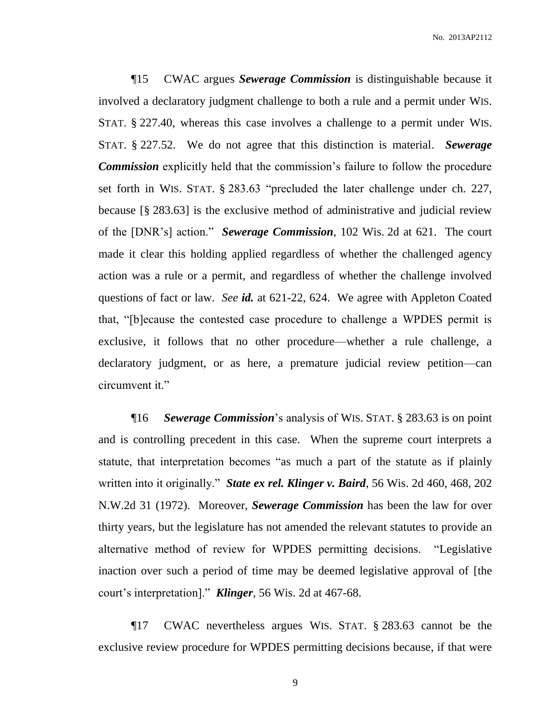¶15 CWAC argues *Sewerage Commission* is distinguishable because it involved a declaratory judgment challenge to both a rule and a permit under WIS. STAT. § 227.40, whereas this case involves a challenge to a permit under WIS. STAT. § 227.52. We do not agree that this distinction is material. *Sewerage Commission* explicitly held that the commission's failure to follow the procedure set forth in WIS. STAT. § 283.63 "precluded the later challenge under ch. 227, because [§ 283.63] is the exclusive method of administrative and judicial review of the [DNR's] action." *Sewerage Commission*, 102 Wis. 2d at 621. The court made it clear this holding applied regardless of whether the challenged agency action was a rule or a permit, and regardless of whether the challenge involved questions of fact or law. *See id.* at 621-22, 624. We agree with Appleton Coated that, "[b]ecause the contested case procedure to challenge a WPDES permit is exclusive, it follows that no other procedure—whether a rule challenge, a declaratory judgment, or as here, a premature judicial review petition—can circumvent it."

¶16 *Sewerage Commission*'s analysis of WIS. STAT. § 283.63 is on point and is controlling precedent in this case. When the supreme court interprets a statute, that interpretation becomes "as much a part of the statute as if plainly written into it originally." *State ex rel. Klinger v. Baird*, 56 Wis. 2d 460, 468, 202 N.W.2d 31 (1972). Moreover, *Sewerage Commission* has been the law for over thirty years, but the legislature has not amended the relevant statutes to provide an alternative method of review for WPDES permitting decisions. "Legislative inaction over such a period of time may be deemed legislative approval of [the court's interpretation]." *Klinger*, 56 Wis. 2d at 467-68.

¶17 CWAC nevertheless argues WIS. STAT. § 283.63 cannot be the exclusive review procedure for WPDES permitting decisions because, if that were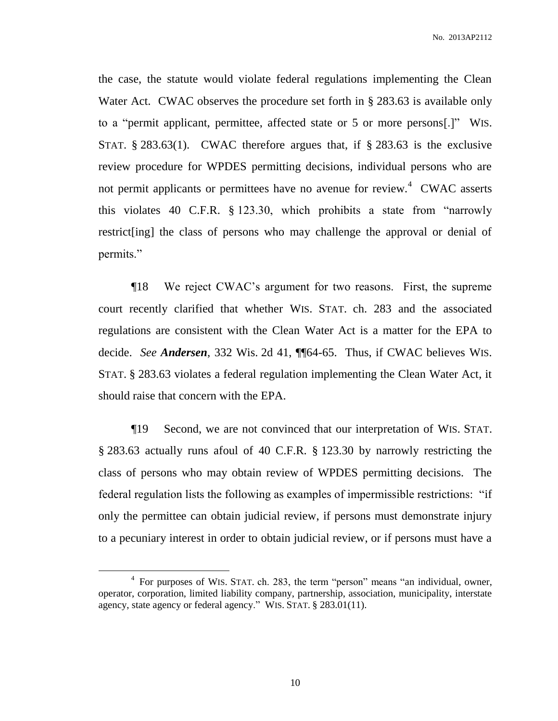the case, the statute would violate federal regulations implementing the Clean Water Act. CWAC observes the procedure set forth in § 283.63 is available only to a "permit applicant, permittee, affected state or 5 or more persons[.]" WIS. STAT.  $\S 283.63(1)$ . CWAC therefore argues that, if  $\S 283.63$  is the exclusive review procedure for WPDES permitting decisions, individual persons who are not permit applicants or permittees have no avenue for review.<sup>4</sup> CWAC asserts this violates 40 C.F.R. § 123.30, which prohibits a state from "narrowly restrict[ing] the class of persons who may challenge the approval or denial of permits."

¶18 We reject CWAC's argument for two reasons. First, the supreme court recently clarified that whether WIS. STAT. ch. 283 and the associated regulations are consistent with the Clean Water Act is a matter for the EPA to decide. *See Andersen*, 332 Wis. 2d 41, ¶¶64-65. Thus, if CWAC believes WIS. STAT. § 283.63 violates a federal regulation implementing the Clean Water Act, it should raise that concern with the EPA.

¶19 Second, we are not convinced that our interpretation of WIS. STAT. § 283.63 actually runs afoul of 40 C.F.R. § 123.30 by narrowly restricting the class of persons who may obtain review of WPDES permitting decisions. The federal regulation lists the following as examples of impermissible restrictions: "if only the permittee can obtain judicial review, if persons must demonstrate injury to a pecuniary interest in order to obtain judicial review, or if persons must have a

<sup>&</sup>lt;sup>4</sup> For purposes of WIS. STAT. ch. 283, the term "person" means "an individual, owner, operator, corporation, limited liability company, partnership, association, municipality, interstate agency, state agency or federal agency." WIS. STAT. § 283.01(11).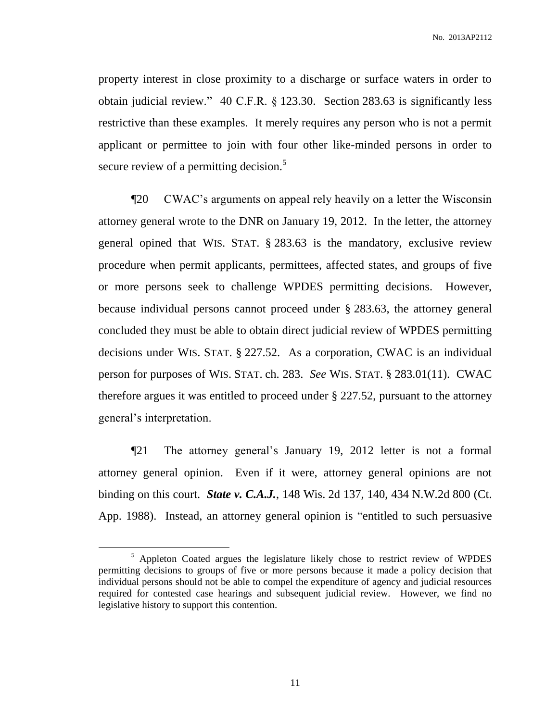property interest in close proximity to a discharge or surface waters in order to obtain judicial review." 40 C.F.R. § 123.30. Section 283.63 is significantly less restrictive than these examples. It merely requires any person who is not a permit applicant or permittee to join with four other like-minded persons in order to secure review of a permitting decision.<sup>5</sup>

¶20 CWAC's arguments on appeal rely heavily on a letter the Wisconsin attorney general wrote to the DNR on January 19, 2012. In the letter, the attorney general opined that WIS. STAT. § 283.63 is the mandatory, exclusive review procedure when permit applicants, permittees, affected states, and groups of five or more persons seek to challenge WPDES permitting decisions. However, because individual persons cannot proceed under § 283.63, the attorney general concluded they must be able to obtain direct judicial review of WPDES permitting decisions under WIS. STAT. § 227.52. As a corporation, CWAC is an individual person for purposes of WIS. STAT. ch. 283. *See* WIS. STAT. § 283.01(11). CWAC therefore argues it was entitled to proceed under § 227.52, pursuant to the attorney general's interpretation.

¶21 The attorney general's January 19, 2012 letter is not a formal attorney general opinion. Even if it were, attorney general opinions are not binding on this court. *State v. C.A.J.*, 148 Wis. 2d 137, 140, 434 N.W.2d 800 (Ct. App. 1988). Instead, an attorney general opinion is "entitled to such persuasive

<sup>&</sup>lt;sup>5</sup> Appleton Coated argues the legislature likely chose to restrict review of WPDES permitting decisions to groups of five or more persons because it made a policy decision that individual persons should not be able to compel the expenditure of agency and judicial resources required for contested case hearings and subsequent judicial review. However, we find no legislative history to support this contention.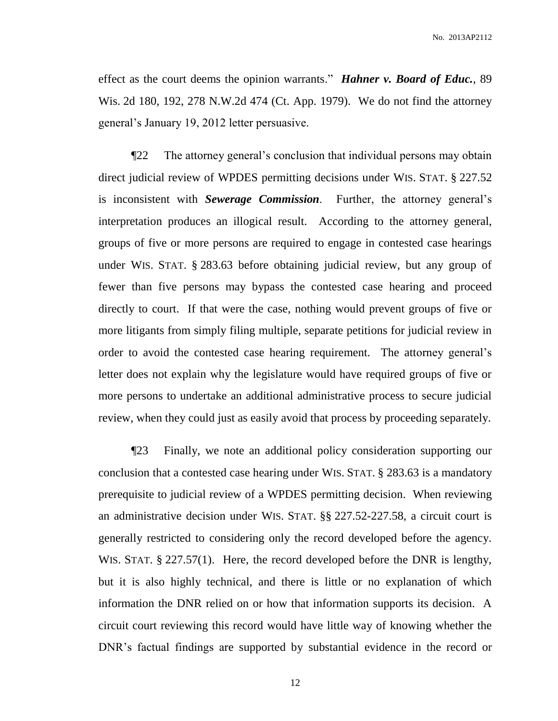No. 2013AP2112

effect as the court deems the opinion warrants." *Hahner v. Board of Educ.*, 89 Wis. 2d 180, 192, 278 N.W.2d 474 (Ct. App. 1979). We do not find the attorney general's January 19, 2012 letter persuasive.

¶22 The attorney general's conclusion that individual persons may obtain direct judicial review of WPDES permitting decisions under WIS. STAT. § 227.52 is inconsistent with *Sewerage Commission*. Further, the attorney general's interpretation produces an illogical result. According to the attorney general, groups of five or more persons are required to engage in contested case hearings under WIS. STAT. § 283.63 before obtaining judicial review, but any group of fewer than five persons may bypass the contested case hearing and proceed directly to court. If that were the case, nothing would prevent groups of five or more litigants from simply filing multiple, separate petitions for judicial review in order to avoid the contested case hearing requirement. The attorney general's letter does not explain why the legislature would have required groups of five or more persons to undertake an additional administrative process to secure judicial review, when they could just as easily avoid that process by proceeding separately.

¶23 Finally, we note an additional policy consideration supporting our conclusion that a contested case hearing under WIS. STAT. § 283.63 is a mandatory prerequisite to judicial review of a WPDES permitting decision. When reviewing an administrative decision under WIS. STAT. §§ 227.52-227.58, a circuit court is generally restricted to considering only the record developed before the agency. WIS. STAT. § 227.57(1). Here, the record developed before the DNR is lengthy, but it is also highly technical, and there is little or no explanation of which information the DNR relied on or how that information supports its decision. A circuit court reviewing this record would have little way of knowing whether the DNR's factual findings are supported by substantial evidence in the record or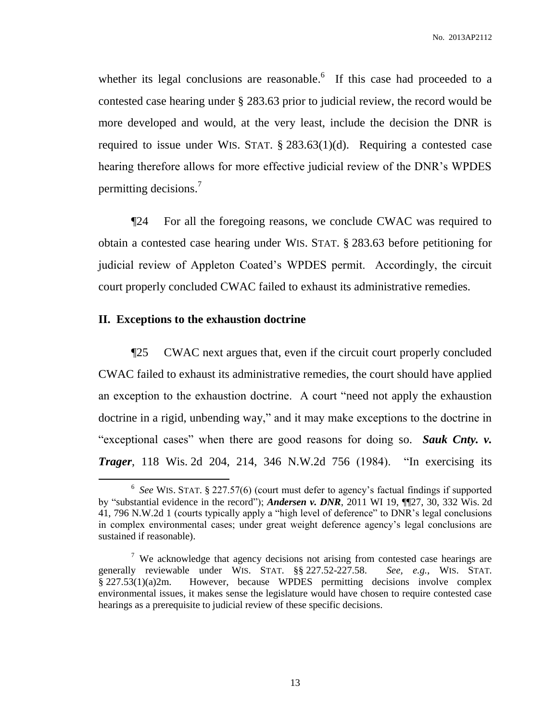whether its legal conclusions are reasonable. If this case had proceeded to a contested case hearing under § 283.63 prior to judicial review, the record would be more developed and would, at the very least, include the decision the DNR is required to issue under WIS. STAT. § 283.63(1)(d). Requiring a contested case hearing therefore allows for more effective judicial review of the DNR's WPDES permitting decisions.<sup>7</sup>

¶24 For all the foregoing reasons, we conclude CWAC was required to obtain a contested case hearing under WIS. STAT. § 283.63 before petitioning for judicial review of Appleton Coated's WPDES permit. Accordingly, the circuit court properly concluded CWAC failed to exhaust its administrative remedies.

## **II. Exceptions to the exhaustion doctrine**

 $\overline{a}$ 

¶25 CWAC next argues that, even if the circuit court properly concluded CWAC failed to exhaust its administrative remedies, the court should have applied an exception to the exhaustion doctrine. A court "need not apply the exhaustion doctrine in a rigid, unbending way," and it may make exceptions to the doctrine in "exceptional cases" when there are good reasons for doing so. *Sauk Cnty. v. Trager*, 118 Wis. 2d 204, 214, 346 N.W.2d 756 (1984). "In exercising its

<sup>6</sup> *See* WIS. STAT. § 227.57(6) (court must defer to agency's factual findings if supported by "substantial evidence in the record"); *Andersen v. DNR*, 2011 WI 19, ¶¶27, 30, 332 Wis. 2d 41, 796 N.W.2d 1 (courts typically apply a "high level of deference" to DNR's legal conclusions in complex environmental cases; under great weight deference agency's legal conclusions are sustained if reasonable).

<sup>&</sup>lt;sup>7</sup> We acknowledge that agency decisions not arising from contested case hearings are generally reviewable under WIS. STAT. §§ 227.52-227.58. *See, e.g.*, WIS. STAT. § 227.53(1)(a)2m. However, because WPDES permitting decisions involve complex environmental issues, it makes sense the legislature would have chosen to require contested case hearings as a prerequisite to judicial review of these specific decisions.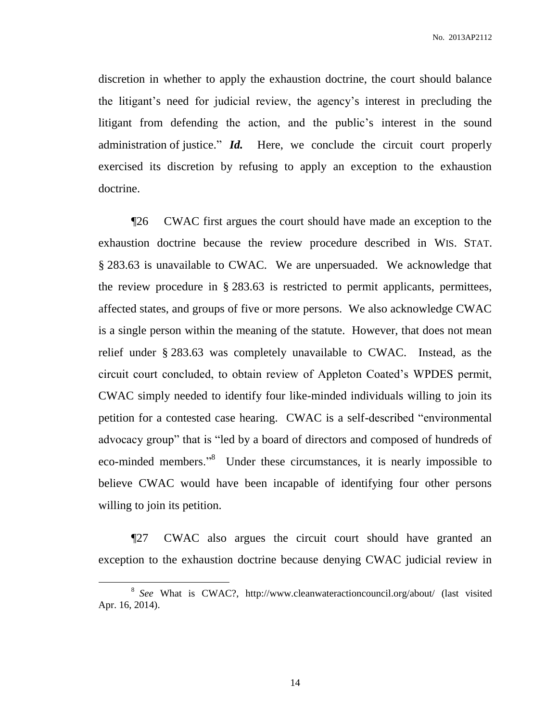discretion in whether to apply the exhaustion doctrine, the court should balance the litigant's need for judicial review, the agency's interest in precluding the litigant from defending the action, and the public's interest in the sound administration of justice." *Id.* Here, we conclude the circuit court properly exercised its discretion by refusing to apply an exception to the exhaustion doctrine.

¶26 CWAC first argues the court should have made an exception to the exhaustion doctrine because the review procedure described in WIS. STAT. § 283.63 is unavailable to CWAC. We are unpersuaded. We acknowledge that the review procedure in § 283.63 is restricted to permit applicants, permittees, affected states, and groups of five or more persons. We also acknowledge CWAC is a single person within the meaning of the statute. However, that does not mean relief under § 283.63 was completely unavailable to CWAC. Instead, as the circuit court concluded, to obtain review of Appleton Coated's WPDES permit, CWAC simply needed to identify four like-minded individuals willing to join its petition for a contested case hearing. CWAC is a self-described "environmental advocacy group" that is "led by a board of directors and composed of hundreds of eco-minded members."<sup>8</sup> Under these circumstances, it is nearly impossible to believe CWAC would have been incapable of identifying four other persons willing to join its petition.

¶27 CWAC also argues the circuit court should have granted an exception to the exhaustion doctrine because denying CWAC judicial review in

<sup>8</sup> *See* What is CWAC?, http://www.cleanwateractioncouncil.org/about/ (last visited Apr. 16, 2014).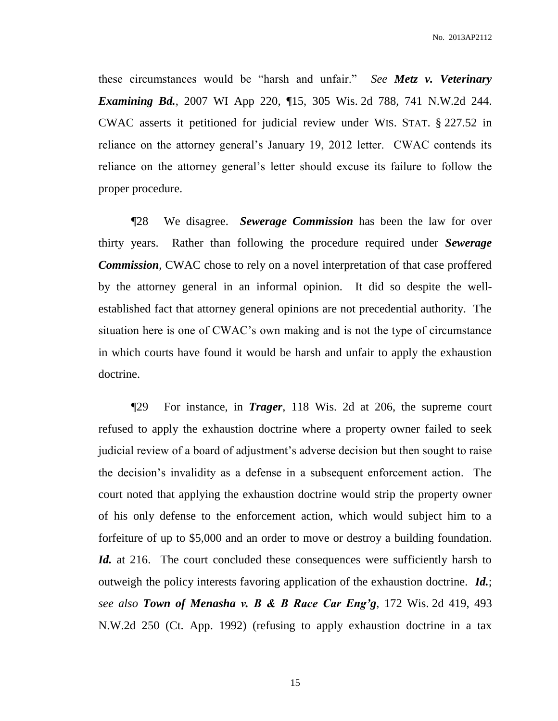these circumstances would be "harsh and unfair." *See Metz v. Veterinary Examining Bd.*, 2007 WI App 220, ¶15, 305 Wis. 2d 788, 741 N.W.2d 244. CWAC asserts it petitioned for judicial review under WIS. STAT. § 227.52 in reliance on the attorney general's January 19, 2012 letter. CWAC contends its reliance on the attorney general's letter should excuse its failure to follow the proper procedure.

¶28 We disagree. *Sewerage Commission* has been the law for over thirty years. Rather than following the procedure required under *Sewerage Commission*, CWAC chose to rely on a novel interpretation of that case proffered by the attorney general in an informal opinion. It did so despite the wellestablished fact that attorney general opinions are not precedential authority. The situation here is one of CWAC's own making and is not the type of circumstance in which courts have found it would be harsh and unfair to apply the exhaustion doctrine.

¶29 For instance, in *Trager*, 118 Wis. 2d at 206, the supreme court refused to apply the exhaustion doctrine where a property owner failed to seek judicial review of a board of adjustment's adverse decision but then sought to raise the decision's invalidity as a defense in a subsequent enforcement action. The court noted that applying the exhaustion doctrine would strip the property owner of his only defense to the enforcement action, which would subject him to a forfeiture of up to \$5,000 and an order to move or destroy a building foundation. *Id.* at 216. The court concluded these consequences were sufficiently harsh to outweigh the policy interests favoring application of the exhaustion doctrine. *Id.*; *see also Town of Menasha v. B & B Race Car Eng'g*, 172 Wis. 2d 419, 493 N.W.2d 250 (Ct. App. 1992) (refusing to apply exhaustion doctrine in a tax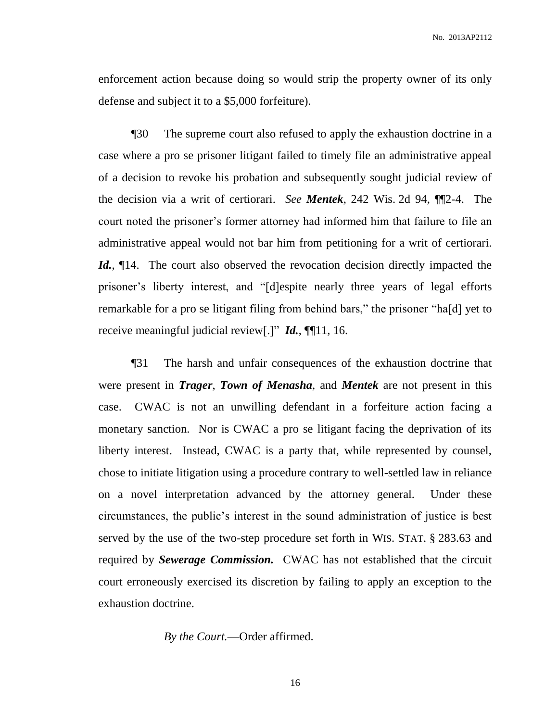enforcement action because doing so would strip the property owner of its only defense and subject it to a \$5,000 forfeiture).

¶30 The supreme court also refused to apply the exhaustion doctrine in a case where a pro se prisoner litigant failed to timely file an administrative appeal of a decision to revoke his probation and subsequently sought judicial review of the decision via a writ of certiorari. *See Mentek*, 242 Wis. 2d 94, ¶¶2-4. The court noted the prisoner's former attorney had informed him that failure to file an administrative appeal would not bar him from petitioning for a writ of certiorari. Id.,  $\P$ 14. The court also observed the revocation decision directly impacted the prisoner's liberty interest, and "[d]espite nearly three years of legal efforts remarkable for a pro se litigant filing from behind bars," the prisoner "ha[d] yet to receive meaningful judicial review[.]" *Id.*, ¶¶11, 16.

¶31 The harsh and unfair consequences of the exhaustion doctrine that were present in *Trager*, *Town of Menasha*, and *Mentek* are not present in this case. CWAC is not an unwilling defendant in a forfeiture action facing a monetary sanction. Nor is CWAC a pro se litigant facing the deprivation of its liberty interest. Instead, CWAC is a party that, while represented by counsel, chose to initiate litigation using a procedure contrary to well-settled law in reliance on a novel interpretation advanced by the attorney general. Under these circumstances, the public's interest in the sound administration of justice is best served by the use of the two-step procedure set forth in WIS. STAT. § 283.63 and required by *Sewerage Commission.* CWAC has not established that the circuit court erroneously exercised its discretion by failing to apply an exception to the exhaustion doctrine.

*By the Court.*—Order affirmed.